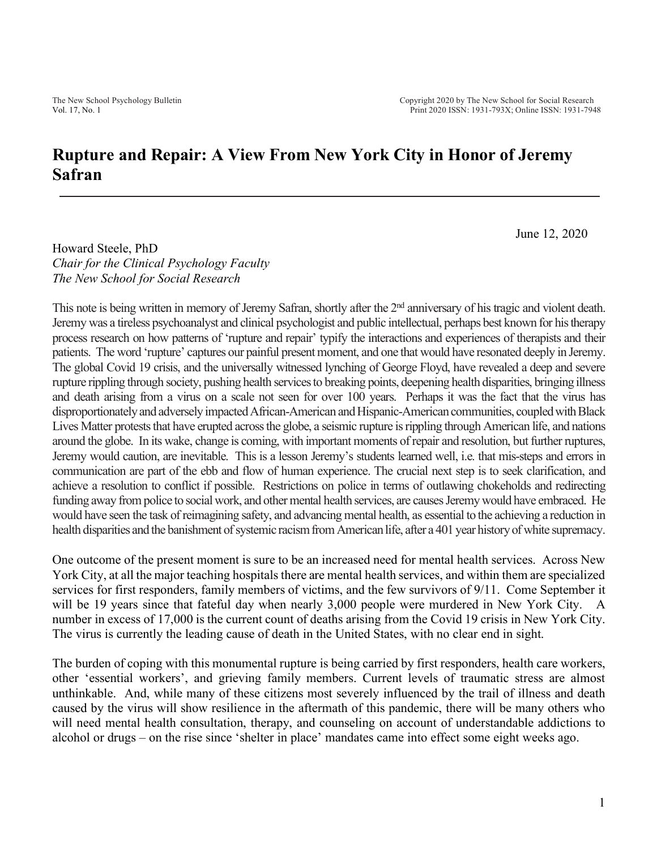## **Rupture and Repair: A View From New York City in Honor of Jeremy Safran**

June 12, 2020

Howard Steele, PhD *Chair for the Clinical Psychology Faculty The New School for Social Research*

This note is being written in memory of Jeremy Safran, shortly after the 2<sup>nd</sup> anniversary of his tragic and violent death. Jeremy was a tireless psychoanalyst and clinical psychologist and public intellectual, perhaps best known for his therapy process research on how patterns of 'rupture and repair' typify the interactions and experiences of therapists and their patients. The word 'rupture' captures our painful present moment, and one that would have resonated deeply in Jeremy. The global Covid 19 crisis, and the universally witnessed lynching of George Floyd, have revealed a deep and severe rupture rippling through society, pushing health services to breaking points, deepening health disparities, bringing illness and death arising from a virus on a scale not seen for over 100 years. Perhaps it was the fact that the virus has disproportionately and adversely impacted African-American and Hispanic-American communities, coupled with Black Lives Matter protests that have erupted across the globe, a seismic rupture is rippling through American life, and nations around the globe. In its wake, change is coming, with important moments of repair and resolution, but further ruptures, Jeremy would caution, are inevitable. This is a lesson Jeremy's students learned well, i.e. that mis-steps and errors in communication are part of the ebb and flow of human experience. The crucial next step is to seek clarification, and achieve a resolution to conflict if possible. Restrictions on police in terms of outlawing chokeholds and redirecting funding away from police to social work, and other mental health services, are causes Jeremy would have embraced. He would have seen the task of reimagining safety, and advancing mental health, as essential to the achieving a reduction in health disparities and the banishment of systemic racism from American life, after a 401 year history of white supremacy.

One outcome of the present moment is sure to be an increased need for mental health services. Across New York City, at all the major teaching hospitals there are mental health services, and within them are specialized services for first responders, family members of victims, and the few survivors of 9/11. Come September it will be 19 years since that fateful day when nearly 3,000 people were murdered in New York City. A number in excess of 17,000 is the current count of deaths arising from the Covid 19 crisis in New York City. The virus is currently the leading cause of death in the United States, with no clear end in sight.

The burden of coping with this monumental rupture is being carried by first responders, health care workers, other 'essential workers', and grieving family members. Current levels of traumatic stress are almost unthinkable. And, while many of these citizens most severely influenced by the trail of illness and death caused by the virus will show resilience in the aftermath of this pandemic, there will be many others who will need mental health consultation, therapy, and counseling on account of understandable addictions to alcohol or drugs – on the rise since 'shelter in place' mandates came into effect some eight weeks ago.